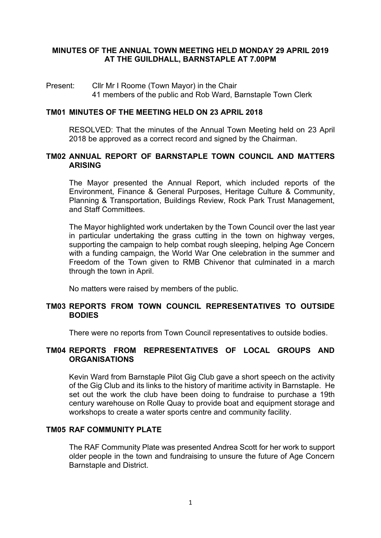## **MINUTES OF THE ANNUAL TOWN MEETING HELD MONDAY 29 APRIL 2019 AT THE GUILDHALL, BARNSTAPLE AT 7.00PM**

#### Present: Cllr Mr I Roome (Town Mayor) in the Chair 41 members of the public and Rob Ward, Barnstaple Town Clerk

#### **TM01 MINUTES OF THE MEETING HELD ON 23 APRIL 2018**

RESOLVED: That the minutes of the Annual Town Meeting held on 23 April 2018 be approved as a correct record and signed by the Chairman.

#### **TM02 ANNUAL REPORT OF BARNSTAPLE TOWN COUNCIL AND MATTERS ARISING**

The Mayor presented the Annual Report, which included reports of the Environment, Finance & General Purposes, Heritage Culture & Community, Planning & Transportation, Buildings Review, Rock Park Trust Management, and Staff Committees.

The Mayor highlighted work undertaken by the Town Council over the last year in particular undertaking the grass cutting in the town on highway verges, supporting the campaign to help combat rough sleeping, helping Age Concern with a funding campaign, the World War One celebration in the summer and Freedom of the Town given to RMB Chivenor that culminated in a march through the town in April.

No matters were raised by members of the public.

## **TM03 REPORTS FROM TOWN COUNCIL REPRESENTATIVES TO OUTSIDE BODIES**

There were no reports from Town Council representatives to outside bodies.

## **TM04 REPORTS FROM REPRESENTATIVES OF LOCAL GROUPS AND ORGANISATIONS**

Kevin Ward from Barnstaple Pilot Gig Club gave a short speech on the activity of the Gig Club and its links to the history of maritime activity in Barnstaple. He set out the work the club have been doing to fundraise to purchase a 19th century warehouse on Rolle Quay to provide boat and equipment storage and workshops to create a water sports centre and community facility.

# **TM05 RAF COMMUNITY PLATE**

The RAF Community Plate was presented Andrea Scott for her work to support older people in the town and fundraising to unsure the future of Age Concern Barnstaple and District.